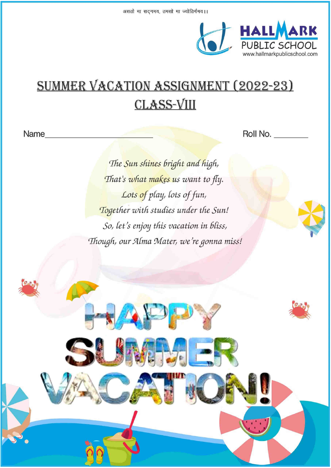

# SUMMER VACATION ASSIGNMENT (2022-23) **CLASS-VIII**

Name

Roll No.

The Sun shines bright and high, That's what makes us want to fly. Lots of play, lots of fun, Together with studies under the Sun! So, let's enjoy this vacation in bliss, Though, our Alma Mater, we're gonna miss!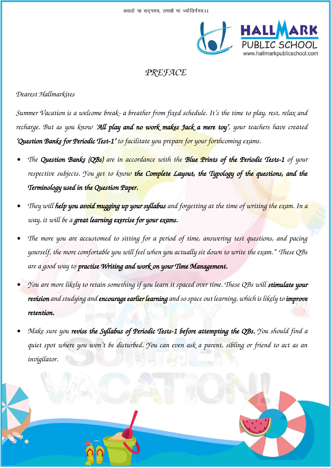

### *PREFACE*

### *Dearest Hallmarkites*

*Summer Vacation is a welcome break- a breather from fixed schedule. It's the time to play, rest, relax and recharge. But as you know 'All play and no work makes Jack a mere toy', your teachers have created 'Question Banks for Periodic Test-1' to facilitate you prepare for your forthcoming exams.* 

- *• The Question Banks (QBs) are in accordance with the Blue Prints of the Periodic Tests-1 of your respective subjects. You get to know the Complete Layout, the Typology of the questions, and the Terminology used in the Question Paper.*
- *• They will help you avoid mugging up your syllabus and forgetting at the time of writing the exam. In a way, it will be a great learning exercise for your exams.*
- *• The more you are accustomed to sitting for a period of time, answering test questions, and pacing yourself, the more comfortable you will feel when you actually sit down to write the exam." These QBs are a good way to practise Writing and work on your Time Management.*
- *• You are more likely to retain something if you learn it spaced over time. These QBs will stimulate your revision and studying and encourage earlier learning and so space out learning, which is likely to improve retention.*
- *• Make sure you revise the Syllabus of Periodic Tests-1 before attempting the QBs. You should find a quiet spot where you won't be disturbed. You can even ask a parent, sibling or friend to act as an invigilator.*

CLASS – VIII (PAGE 2 OF 33)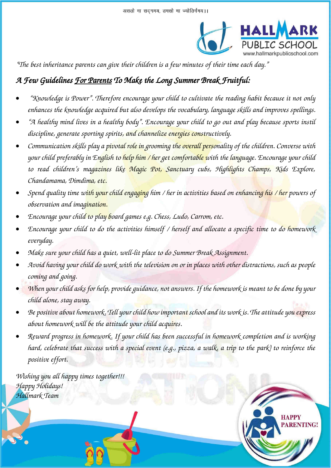

**RENTING!** 

*"The best inheritance parents can give their children is a few minutes of their time each day."*

### *A Few Guidelines For Parents To Make the Long Summer Break Fruitful:*

- *"Knowledge is Power". Therefore encourage your child to cultivate the reading habit because it not only enhances the knowledge acquired but also develops the vocabulary, language skills and improves spellings.*
- *"A healthy mind lives in a healthy body". Encourage your child to go out and play because sports instil discipline, generate sporting spirits, and channelize energies constructively.*
- *Communication skills play a pivotal role in grooming the overall personality of the children. Converse with your child preferably in English to help him / her get comfortable with the language. Encourage your child to read children's magazines like Magic Pot, Sanctuary cubs, Highlights Champs, Kids Explore, Chandamama, Dimdima, etc.*
- *Spend quality time with your child engaging him / her in activities based on enhancing his / her powers of observation and imagination.*
- *Encourage your child to play board games e.g. Chess, Ludo, Carrom, etc.*
- *Encourage your child to do the activities himself / herself and allocate a specific time to do homework everyday.*
- *Make sure your child has a quiet, well-lit place to do Summer Break Assignment.*
- *Avoid having your child do work with the television on or in places with other distractions, such as people coming and going.*
- *When your child asks for help, provide guidance, not answers. If the homework is meant to be done by your child alone, stay away.*
- *Be positive about homework. Tell your child how important school and its work is. The attitude you express about homework will be the attitude your child acquires.*
- *Reward progress in homework. If your child has been successful in homework completion and is working hard, celebrate that success with a special event (e.g., pizza, a walk, a trip to the park) to reinforce the positive effort.*

CLASS – VIII (PAGE 3 OF 33)

*Wishing you all happy times together!!! Happy Holidays! Hallmark Team* 

Ń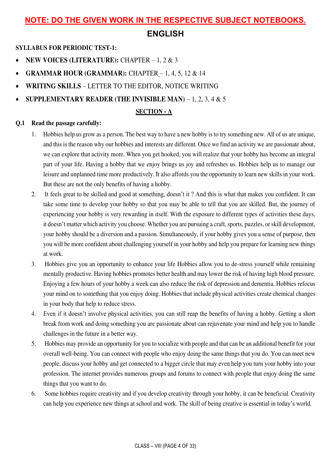### **NOTE: DO THE GIVEN WORK IN THE RESPECTIVE SUBJECT NOTEBOOKS.**

### **ENGLISH**

**SYLLABUS FOR PERIODIC TEST-1:**

- **NEW VOICES (LITERATURE):** CHAPTER 1, 2 & 3
- **GRAMMAR HOUR (GRAMMAR):** CHAPTER 1, 4, 5, 12 & 14
- **WRITING SKILLS** LETTER TO THE EDITOR, NOTICE WRITING
- **SUPPLEMENTARY READER (THE INVISIBLE MAN)** 1, 2, 3, 4 & 5

### **SECTION - A**

### **Q.1 Read the passage carefully:**

- 1. Hobbies help us grow as a person. The best way to have a new hobby is to try something new. All of us are unique, and this is the reason why our hobbies and interests are different. Once we find an activity we are passionate about, we can explore that activity more. When you get hooked, you will realize that your hobby has become an integral part of your life. Having a hobby that we enjoy brings us joy and refreshes us. Hobbies help us to manage our leisure and unplanned time more productively. It also affords you the opportunity to learn new skills in your work. But these are not the only benefits of having a hobby.
- 2. It feels great to be skilled and good at something, doesn't it ? And this is what that makes you confident. It can take some time to develop your hobby so that you may be able to tell that you are skilled. But, the journey of experiencing your hobby is very rewarding in itself. With the exposure to different types of activities these days, it doesn't matter which activity you choose. Whether you are pursuing a craft, sports, puzzles, or skill development, your hobby should be a diversion and a passion. Simultaneously, if your hobby gives you a sense of purpose, then you will be more confident about challenging yourself in your hobby and help you prepare for learning new things at work.
- 3. Hobbies give you an opportunity to enhance your life Hobbies allow you to de-stress yourself while remaining mentally productive. Having hobbies promotes better health and may lower the risk of having high blood pressure. Enjoying a few hours of your hobby a week can also reduce the risk of depression and dementia. Hobbies refocus your mind on to something that you enjoy doing. Hobbies that include physical activities create chemical changes in your body that help to reduce stress.
- 4. Even if it doesn't involve physical activities, you can still reap the benefits of having a hobby. Getting a short break from work and doing something you are passionate about can rejuvenate your mind and help you to handle challenges in the future in a better way.
- 5. Hobbies may provide an opportunity for you to socialize with people and that can be an additional benefit for your overall well-being. You can connect with people who enjoy doing the same things that you do. You can meet new people, discuss your hobby and get connected to a bigger circle that may even help you turn your hobby into your profession. The internet provides numerous groups and forums to connect with people that enjoy doing the same things that you want to do.
- 6. Some hobbies require creativity and if you develop creativity through your hobby, it can be beneficial. Creativity can help you experience new things at school and work. The skill of being creative is essential in today's world.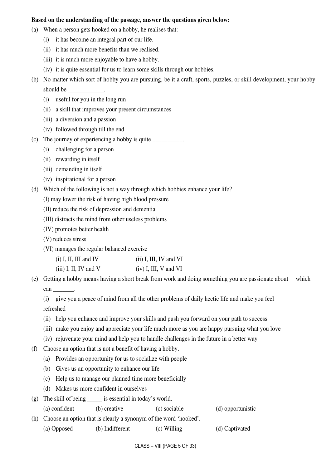#### **Based on the understanding of the passage, answer the questions given below:**

- (a) When a person gets hooked on a hobby, he realises that:
	- (i) it has become an integral part of our life.
	- (ii) it has much more benefits than we realised.
	- (iii) it is much more enjoyable to have a hobby.
	- (iv) it is quite essential for us to learn some skills through our hobbies.
- (b) No matter which sort of hobby you are pursuing, be it a craft, sports, puzzles, or skill development, your hobby should be
	- (i) useful for you in the long run
	- (ii) a skill that improves your present circumstances
	- (iii) a diversion and a passion
	- (iv) followed through till the end
- (c) The journey of experiencing a hobby is quite \_\_\_\_\_\_\_\_\_\_.
	- (i) challenging for a person
	- (ii) rewarding in itself
	- (iii) demanding in itself
	- (iv) inspirational for a person
- (d) Which of the following is not a way through which hobbies enhance your life?
	- (I) may lower the risk of having high blood pressure
	- (II) reduce the risk of depression and dementia
	- (III) distracts the mind from other useless problems
	- (IV) promotes better health
	- (V) reduces stress
	- (VI) manages the regular balanced exercise

| $(i)$ I, II, III and IV | $(ii)$ I, III, IV and VI |
|-------------------------|--------------------------|
| $(iii)$ I, II, IV and V | $(iv)$ I, III, V and VI  |

(e) Getting a hobby means having a short break from work and doing something you are passionate about which can \_\_\_\_\_\_\_\_\_.

 (i) give you a peace of mind from all the other problems of daily hectic life and make you feel refreshed

- (ii) help you enhance and improve your skills and push you forward on your path to success
- (iii) make you enjoy and appreciate your life much more as you are happy pursuing what you love
- (iv) rejuvenate your mind and help you to handle challenges in the future in a better way
- (f) Choose an option that is not a benefit of having a hobby.
	- (a) Provides an opportunity for us to socialize with people
	- (b) Gives us an opportunity to enhance our life
	- (c) Help us to manage our planned time more beneficially
	- (d) Makes us more confident in ourselves
- (g) The skill of being \_\_\_\_\_ is essential in today's world.
	- (a) confident (b) creative (c) sociable (d) opportunistic
- (h) Choose an option that is clearly a synonym of the word 'hooked'. (a) Opposed (b) Indifferent (c) Willing (d) Captivated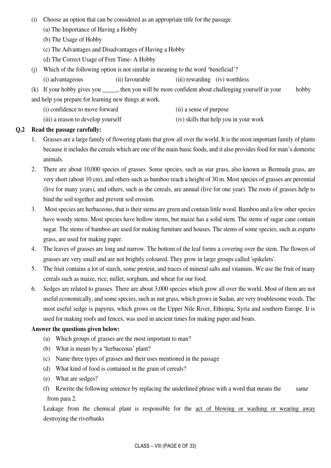- (i) Choose an option that can be considered as an appropriate title for the passage.
	- (a) The Importance of Having a Hobby
	- (b) The Usage of Hobby
	- (c) The Advantages and Disadvantages of Having a Hobby
	- (d) The Correct Usage of Free Time- A Hobby
- (j) Which of the following option is not similar in meaning to the word 'beneficial'?
	- (i) advantageous (ii) favourable (iii) rewarding (iv) worthless

(k) If your hobby gives you \_\_\_\_\_, then you will be more confident about challenging yourself in your hobby and help you prepare for learning new things at work.

- (i) confidence to move forward (ii) a sense of purpose
- (iii) a reason to develop yourself (iv) skills that help you in your work

### **Q.2 Read the passage carefully:**

- 1. Grasses are a large family of flowering plants that grow all over the world. It is the most important family of plants because it includes the cereals which are one of the main basic foods, and it also provides food for man's domestic animals.
- 2. There are about 10,000 species of grasses. Some species, such as star grass, also known as Bermuda grass, are very short (about 10 cm), and others such as bamboo reach a height of 30 m. Most species of grasses are perennial (live for many years), and others, such as the cereals, are annual (live for one year). The roots of grasses help to bind the soil together and prevent soil erosion.
- 3. Most species are herbaceous, that is their stems are green and contain little wood. Bamboo and a few other species have woody stems. Most species have hollow stems, but maize has a solid stem. The stems of sugar cane contain sugar. The stems of bamboo are used for making furniture and houses. The stems of some species, such as esparto grass, are used for making paper.
- 4. The leaves of grasses are long and narrow. The bottom of the leaf forms a covering over the stem. The flowers of grasses are very small and are not brightly coloured. They grow in large groups called 'spikelets'.
- 5. The fruit contains a lot of starch, some protein, and traces of mineral salts and vitamins. We use the fruit of many cereals such as maize, rice, millet, sorghum, and wheat for our food.
- 6. Sedges are related to grasses. There are about 3,000 species which grow all over the world. Most of them are not useful economically, and some species, such as nut grass, which grows in Sudan, are very troublesome weeds. The most useful sedge is papyrus, which grows on the Upper Nile River, Ethiopia, Syria and southern Europe. It is used for making roofs and fences, was used in ancient times for making paper and boats.

### **Answer the questions given below:**

- (a) Which groups of grasses are the most important to man?
- (b) What is meant by a 'herbaceous' plant?
- (c) Name three types of grasses and their uses mentioned in the passage
- (d) What kind of food is contained in the grain of cereals?
- (e) What are sedges?
- (f) Rewrite the following sentence by replacing the underlined phrase with a word that means the same from para 2.

Leakage from the chemical plant is responsible for the act of blowing or washing or wearing away destroying the riverbanks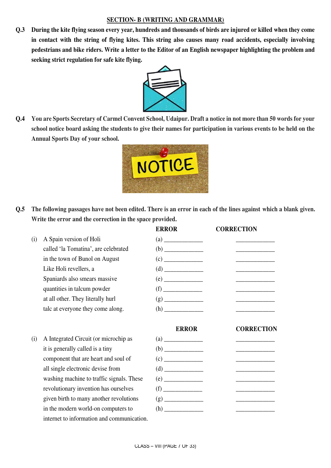### **SECTION- B (WRITING AND GRAMMAR)**

**Q.3 During the kite flying season every year, hundreds and thousands of birds are injured or killed when they come in contact with the string of flying kites. This string also causes many road accidents, especially involving pedestrians and bike riders. Write a letter to the Editor of an English newspaper highlighting the problem and seeking strict regulation for safe kite flying.** 



**Q.4 You are Sports Secretary of Carmel Convent School, Udaipur. Draft a notice in not more than 50 words for your school notice board asking the students to give their names for participation in various events to be held on the Annual Sports Day of your school.** 



**Q.5 The following passages have not been edited. There is an error in each of the lines against which a blank given. Write the error and the correction in the space provided.** 

|     |                                      | <b>ERROR</b>                        | <b>CORRECTION</b> |
|-----|--------------------------------------|-------------------------------------|-------------------|
| (i) | A Spain version of Holi              | (a)                                 |                   |
|     | called 'la Tomatina', are celebrated | (b)                                 |                   |
|     | in the town of Bunol on August       | (c)<br><u> 1989 - Alban Storman</u> |                   |
|     | Like Holi revellers, a               | (d)                                 |                   |
|     | Spaniards also smears massive        | (e)                                 |                   |
|     | quantities in talcum powder          | (f)                                 |                   |
|     | at all other. They literally hurl    | (g)                                 |                   |
|     | talc at everyone they come along.    | (h)                                 |                   |
|     |                                      |                                     |                   |
|     |                                      | <b>ERROR</b>                        | <b>CORRECTION</b> |

 $(i)$  A Integrated Circuit (or microchip as it is generally called is a tiny component that are heart and soul of all single electronic devise from washing machine to traffic signals. These revolutionary invention has ourselves given birth to many another revolutions in the modern world-on computers to internet to information and communication.

| ERROR — | CORRECTION                                      |  |
|---------|-------------------------------------------------|--|
|         | __________                                      |  |
|         |                                                 |  |
|         | the control of the control of the control of    |  |
|         |                                                 |  |
|         | the control of the control of the con-          |  |
|         | <u> 1990 - John Stein, amerikansk politiker</u> |  |
|         |                                                 |  |
|         |                                                 |  |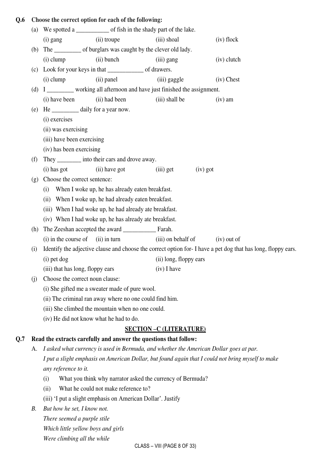### **Q.6 Choose the correct option for each of the following:**

|     | (a) | We spotted a ________________ of fish in the shady part of the lake. |                                                                                                              |               |  |  |
|-----|-----|----------------------------------------------------------------------|--------------------------------------------------------------------------------------------------------------|---------------|--|--|
|     |     | (ii) troupe<br>$(i)$ gang                                            | (iii) shoal                                                                                                  | (iv) flock    |  |  |
|     | (b) | The _____________ of burglars was caught by the clever old lady.     |                                                                                                              |               |  |  |
|     |     | (ii) bunch<br>$(i)$ clump                                            | (iii) gang                                                                                                   | $(iv)$ clutch |  |  |
|     | (c) |                                                                      |                                                                                                              |               |  |  |
|     |     | $(i)$ clump<br>(ii) panel                                            | (iii) gaggle                                                                                                 | $(iv)$ Chest  |  |  |
|     |     |                                                                      | (d) I _________ working all afternoon and have just finished the assignment.                                 |               |  |  |
|     |     | (i) have been<br>(ii) had been                                       | (iii) shall be                                                                                               | $(iv)$ am     |  |  |
|     | (e) | He ______________ daily for a year now.                              |                                                                                                              |               |  |  |
|     |     | (i) exercises                                                        |                                                                                                              |               |  |  |
|     |     | (ii) was exercising                                                  |                                                                                                              |               |  |  |
|     |     | (iii) have been exercising                                           |                                                                                                              |               |  |  |
|     |     | (iv) has been exercising                                             |                                                                                                              |               |  |  |
|     | (f) | They __________ into their cars and drove away.                      |                                                                                                              |               |  |  |
|     |     | (i) has got<br>(ii) have got                                         | $(iv)$ got<br>$(iii)$ get                                                                                    |               |  |  |
|     | (g) | Choose the correct sentence:                                         |                                                                                                              |               |  |  |
|     |     | (i)<br>When I woke up, he has already eaten breakfast.               |                                                                                                              |               |  |  |
|     |     | When I woke up, he had already eaten breakfast.<br>(ii)              |                                                                                                              |               |  |  |
|     |     | (iii) When I had woke up, he had already ate breakfast.              |                                                                                                              |               |  |  |
|     |     | (iv) When I had woke up, he has already ate breakfast.               |                                                                                                              |               |  |  |
|     | (h) |                                                                      |                                                                                                              |               |  |  |
|     |     | (i) in the course of<br>$(ii)$ in turn                               | (iii) on behalf of                                                                                           | $(iv)$ out of |  |  |
|     | (i) |                                                                      | Identify the adjective clause and choose the correct option for-I have a pet dog that has long, floppy ears. |               |  |  |
|     |     | (i) pet dog                                                          | (ii) long, floppy ears                                                                                       |               |  |  |
|     |     | (iii) that has long, floppy ears                                     | $(iv)$ I have                                                                                                |               |  |  |
|     | (j) | Choose the correct noun clause:                                      |                                                                                                              |               |  |  |
|     |     | (i) She gifted me a sweater made of pure wool.                       |                                                                                                              |               |  |  |
|     |     | (ii) The criminal ran away where no one could find him.              |                                                                                                              |               |  |  |
|     |     | (iii) She climbed the mountain when no one could.                    |                                                                                                              |               |  |  |
|     |     | (iv) He did not know what he had to do.                              |                                                                                                              |               |  |  |
|     |     |                                                                      | <b>SECTION - C (LITERATURE)</b>                                                                              |               |  |  |
| Q.7 |     | Read the extracts carefully and answer the questions that follow:    |                                                                                                              |               |  |  |
|     | A.  |                                                                      | I asked what currency is used in Bermuda, and whether the American Dollar goes at par.                       |               |  |  |
|     |     |                                                                      | I put a slight emphasis on American Dollar, but found again that I could not bring myself to make            |               |  |  |
|     |     | any reference to it.                                                 |                                                                                                              |               |  |  |
|     |     | (i)                                                                  | What you think why narrator asked the currency of Bermuda?                                                   |               |  |  |
|     |     | What he could not make reference to?<br>(ii)                         |                                                                                                              |               |  |  |
|     |     | (iii) 'I put a slight emphasis on American Dollar'. Justify          |                                                                                                              |               |  |  |
|     | В.  | But how he set, I know not.                                          |                                                                                                              |               |  |  |
|     |     | There seemed a purple stile                                          |                                                                                                              |               |  |  |
|     |     | Which little yellow boys and girls                                   |                                                                                                              |               |  |  |
|     |     | Were climbing all the while                                          |                                                                                                              |               |  |  |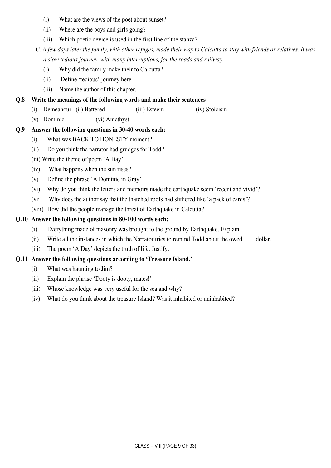- (i) What are the views of the poet about sunset?
- (ii) Where are the boys and girls going?
- (iii) Which poetic device is used in the first line of the stanza?

C*. A few days later the family, with other refuges, made their way to Calcutta to stay with friends or relatives. It was a slow tedious journey, with many interruptions, for the roads and railway.* 

- (i) Why did the family make their to Calcutta?
- (ii) Define 'tedious' journey here.
- (iii) Name the author of this chapter.

### **Q.8 Write the meanings of the following words and make their sentences:**

- (i) Demeanour (ii) Battered (iii) Esteem (iv) Stoicism
- (v) Dominie (vi) Amethyst

### **Q.9 Answer the following questions in 30-40 words each:**

- (i) What was BACK TO HONESTY moment?
- (ii) Do you think the narrator had grudges for Todd?
- (iii) Write the theme of poem 'A Day'.
- (iv) What happens when the sun rises?
- (v) Define the phrase 'A Dominie in Gray'.
- (vi) Why do you think the letters and memoirs made the earthquake seem 'recent and vivid'?
- (vii) Why does the author say that the thatched roofs had slithered like 'a pack of cards'?
- (viii) How did the people manage the threat of Earthquake in Calcutta?

### **Q.10 Answer the following questions in 80-100 words each:**

- (i) Everything made of masonry was brought to the ground by Earthquake. Explain.
- (ii) Write all the instances in which the Narrator tries to remind Todd about the owed dollar.
- (iii) The poem 'A Day' depicts the truth of life. Justify.

### **Q.11 Answer the following questions according to 'Treasure Island.'**

- (i) What was haunting to Jim?
- (ii) Explain the phrase 'Dooty is dooty, mates!'
- (iii) Whose knowledge was very useful for the sea and why?
- (iv) What do you think about the treasure Island? Was it inhabited or uninhabited?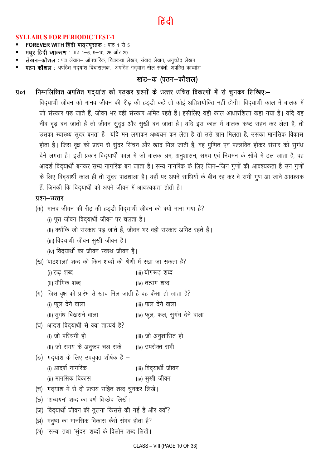## हिटी

#### **SYLLABUS FOR PERIODIC TEST-1**

- **FOREVER WITH हिंदी पाठयपुस्तक:** पाठ 1 से 5
- मधूर हिंदी व्याकरण: पाठ 1-6, 9-10, 25 और 29
- लेखन-कौशल : पत्र लेखन- औपचारिक, चित्रकथा लेखन, संवाद लेखन, अनुच्छेद लेखन
- पठन कौशल : अपठित गद्यांश विचारात्मक, अपठित गद्**यांश खेल संबंधी, अपठित काव्यांश**

### खंड–क (पठन–कौशल)

निम्नलिखित अपठित गद्यांश को पढ़कर प्रश्नों के उत्तर उचित विकल्पों में से चुनकर लिखिए:- $$91$ 

विदयार्थी जीवन को मानव जीवन की रीढ की हड़डी कहें तो कोई अतिशयोक्ति नहीं होगी। विदयार्थी काल में बालक में जो संस्कार पड़ जाते हैं. जीवन भर वही संस्कार अमिट रहते हैं। इसीलिए यही काल आधारशिला कहा गया है। यदि यह नींव दृढ़ बन जाती है तो जीवन सुदृढ़ और सुखी बन जाता है। यदि इस काल में बालक कष्ट सहन कर लेता है, तो उसका स्वास्थ्य सुंदर बनता है। यदि मन लगाकर अध्ययन कर लेता है तो उसे ज्ञान मिलता है, उसका मानसिक विकास होता है। जिस वृक्ष को प्रारंभ से सुंदर सिंचन और खाद मिल जाती है, वह पुष्पित एवं पल्लवित होकर संसार को सुगंध देने लगता है। इसी प्रकार विद्यार्थी काल में जो बालक श्रम, अनुशासन, समय एवं नियमन के साँचे में ढल जाता है, वह आदर्श विद्यार्थी बनकर सभ्य नागरिक बन जाता है। सभ्य नागरिक के लिए जिन–जिन गुणों की आवश्यकता है उन गुणों के लिए विद्यार्थी काल ही तो सुंदर पाठशाला है। यहाँ पर अपने साथियों के बीच रह कर वे सभी गूण आ जाने आवश्यक हैं, जिनकी कि विद्यार्थी को अपने जीवन में आवश्यकता होती है।

#### प्रश्न–उत्तर

- (क) मानव जीवन की रीढ़ की हड्डी विद्यार्थी जीवन को क्यों माना गया है? (i) पूरा जीवन विदयार्थी जीवन पर चलता है। (ii) क्योंकि जो संस्कार पड़ जाते हैं, जीवन भर वही संस्कार अमिट रहते हैं। (iii) विद्**यार्थी जीवन सुखी जीवन** है।
	- (iv) विद्यार्थी का जीवन स्वस्थ जीवन है।
- (ख) 'पाठशाला' शब्द को किन शब्दों की श्रेणी में रखा जा सकता है? (iii) योगरूढ शब्द (i) रुढ शब्द
	- (ii) यौगिक शब्द (iv) तत्सम शब्द
- (ग) जिस वृक्ष को प्रारंभ से खाद मिल जाती है वह कैसा हो जाता है? (iii) फल देने वाला (i) फूल देने वाला
- (ii) सुगंध बिखराने वाला (iv) फूल, फल, सुगंध देने वाला
- (घ) आदर्श विद्यार्थी से क्या तात्यर्य है?
- (i) जो परिश्रमी हो (iii) जो अनुशासित हो
- (ii) जो समय के अनुरूप चल सके (iv) उपरोक्त सभी
- (ङ) गद्यांश के लिए उपयुक्त शीर्षक है -
- (i) आदर्श नागरिक (iii) विद्यार्थी जीवन
	- (ii) मानसिक विकास (iv) सुखी जीवन
- (च) गद्यांश में से दो प्रत्यय सहित शब्द चुनकर लिखें।
- (छ) 'अध्ययन' शब्द का वर्ण विच्छेद लिखें।
- (ज) विदयार्थी जीवन की तुलना किससे की गई है और क्यों?
- (झ) मनुष्य का मानसिक विकास कैसे संभव होता है?
- (ञ) 'सभ्य' तथा 'सुंदर' शब्दों के विलोम शब्द लिखें।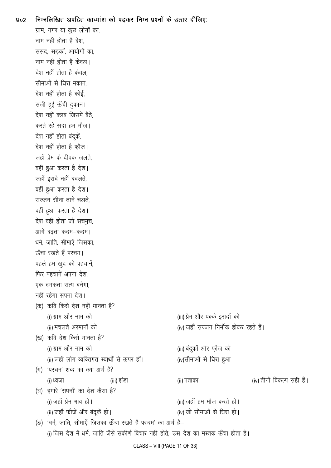| $\sqrt{4}$ | निम्नलिखित अपठित काव्यांश को पढ़कर निम्न प्रश्नों के उत्तर दीजिए:–                     |                                        |                            |
|------------|----------------------------------------------------------------------------------------|----------------------------------------|----------------------------|
|            | ग्राम, नगर या कुछ लोगों का,                                                            |                                        |                            |
|            | नाम नहीं होता है देश,                                                                  |                                        |                            |
|            | संसद, सड़कों, आयोगों का,                                                               |                                        |                            |
|            | नाम नहीं होता है केवल।                                                                 |                                        |                            |
|            | देश नहीं होता है केवल,                                                                 |                                        |                            |
|            | सीमाओं से घिरा मकान,                                                                   |                                        |                            |
|            | देश नहीं होता है कोई,                                                                  |                                        |                            |
|            | सजी हुई ऊँची दुकान।                                                                    |                                        |                            |
|            | देश नहीं क्लब जिसमें बैठे,                                                             |                                        |                            |
|            | करते रहें सदा हम मौज।                                                                  |                                        |                            |
|            | देश नहीं होता बंदूकें,                                                                 |                                        |                            |
|            | देश नहीं होता है फ़ौज।                                                                 |                                        |                            |
|            | जहाँ प्रेम के दीपक जलते.                                                               |                                        |                            |
|            | वहीं हुआ करता है देश।                                                                  |                                        |                            |
|            | जहाँ इरादे नहीं बदलते,                                                                 |                                        |                            |
|            | वहीं हुआ करता है देश।                                                                  |                                        |                            |
|            | सज्जन सीना ताने चलते.                                                                  |                                        |                            |
|            | वहीं हुआ करता है देश।                                                                  |                                        |                            |
|            | देश वही होता जो सचमुच,                                                                 |                                        |                            |
|            | आगे बढ़ता कदम–कदम।                                                                     |                                        |                            |
|            | धर्म, जाति, सीमाएँ जिसका,                                                              |                                        |                            |
|            | ऊँचा रखते हैं परचम।                                                                    |                                        |                            |
|            | पहले हम खुद को पहचानें,                                                                |                                        |                            |
|            | फिर पहचानें अपना देश,                                                                  |                                        |                            |
|            | एक दमकता सत्य बनेगा,                                                                   |                                        |                            |
|            | नहीं रहेगा सपना देश।                                                                   |                                        |                            |
|            | (क) कवि किसे देश नहीं मानता है?                                                        |                                        |                            |
|            | (i) ग्राम और नाम को                                                                    | (iii) प्रेम और पक्के इरादों को         |                            |
|            | (ii) मचलते अरमानों को                                                                  | (iv) जहाँ सज्जन निर्भीक होकर रहते हैं। |                            |
|            | (ख) कवि देश किसे मानता है?                                                             |                                        |                            |
|            | (i) ग्राम और नाम को                                                                    | (iii) बंदूकों और फ़ौज को               |                            |
|            | (ii) जहाँ लोग व्यक्तिगत स्वार्थों से ऊपर हों।                                          | (iv)सीमाओं से घिरा हुआ                 |                            |
|            | (ग) 'परचम' शब्द का क्या अर्थ है?                                                       |                                        |                            |
|            | (iii) झंडा<br>(i) ध्वजा                                                                | (ii) पताका                             | (iv) तीनों विकल्प सही हैं। |
|            | (घ) हमारे 'सपनों' का देश कैसा है?                                                      |                                        |                            |
|            | (i) जहाँ प्रेम भाव हो।                                                                 | (iii) जहाँ हम मौज करते हो।             |                            |
|            | (ii) जहाँ फ़ौजें और बंदूकें हो।                                                        | (iv) जो सीमाओं से घिरा हो।             |                            |
|            | (ङ) 'धर्म, जाति, सीमाएँ जिसका ऊँचा रखते हैं परचम' का अर्थ है–                          |                                        |                            |
|            | (i) जिस देश में धर्म, जाति जैसे संकीर्ण विचार नहीं होते, उस देश का मस्तक ऊँचा होता है। |                                        |                            |
|            |                                                                                        |                                        |                            |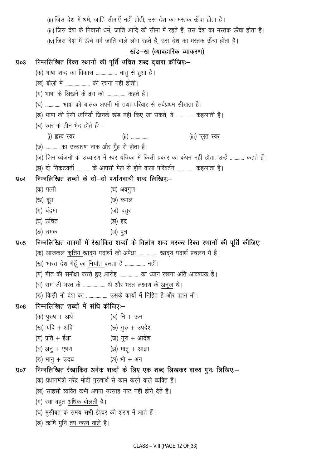|                 | (ii) जिस देश में धर्म, जाति सीमाएँ नहीं होती, उस देश का मस्तक ऊँचा होता है।                |                                                                                                    |  |  |
|-----------------|--------------------------------------------------------------------------------------------|----------------------------------------------------------------------------------------------------|--|--|
|                 | (iii) जिस देश के निवासी धर्म, जाति आदि की सीमा में रहते हैं, उस देश का मस्तक ऊँचा होता है। |                                                                                                    |  |  |
|                 | (iv) जिस देश में ऊँचे धर्म जाति वाले लोग रहते हैं, उस देश का मस्तक ऊँचा होता है।           |                                                                                                    |  |  |
|                 |                                                                                            | खंड–ख (व्यावहारिक व्याकरण)                                                                         |  |  |
| $\P$ 03         |                                                                                            | निम्नलिखित रिक्त स्थानों की पूर्ति उचित शब्द द्वारा कीजिए:–                                        |  |  |
|                 | (क) भाषा शब्द का विकास  धातु से हुआ है।                                                    |                                                                                                    |  |  |
|                 | (ख) बोली में  की रचना नहीं होती।                                                           |                                                                                                    |  |  |
|                 | (ग) भाषा के लिखने के ढंग को  कहते हैं।                                                     |                                                                                                    |  |  |
|                 |                                                                                            | (घ)  भाषा को बालक अपनी माँ तथा परिवार से सर्वप्रथम सीखता है।                                       |  |  |
|                 |                                                                                            | (ङ) भाषा की ऐसी ध्वनियाँ जिनके खंड नहीं किए जा सकते, वे  कहलाती हैं।                               |  |  |
|                 | (च) स्वर के तीन भेद होते हैं:—                                                             |                                                                                                    |  |  |
|                 | (i) हृस्व स्वर                                                                             | (ii)<br>(iii) प्लुत स्वर                                                                           |  |  |
|                 | (छ)  का उच्चारण नाक और मुँह से होता है।                                                    |                                                                                                    |  |  |
|                 |                                                                                            | (ज) जिन व्यंजनों के उच्चारण में स्वर यंत्रिका में किसी प्रकार का कंपन नहीं होता, उन्हें  कहते हैं। |  |  |
|                 |                                                                                            | (झ) दो निकटवर्ती  के आपसी मेल से होने वाला परिवर्तन  कहलाता है।                                    |  |  |
| $\Psi$ o4       | निम्नलिखित शब्दों के दो—दो पर्यायवाची शब्द लिखिए:—                                         |                                                                                                    |  |  |
|                 | (क) पत्नी                                                                                  | (च) अवगुण                                                                                          |  |  |
|                 | (ख) दूध                                                                                    | (छ) कमल                                                                                            |  |  |
|                 | (ग) चंद्रमा                                                                                | (ज) चतुर                                                                                           |  |  |
|                 | (घ) उचित                                                                                   | (झ) इंद्र                                                                                          |  |  |
|                 | (ङ) चमक                                                                                    | (ञ) पुत्र                                                                                          |  |  |
| $\sqrt{4}$ 05   | निम्नलिखित वाक्यों में रेखांकित शब्दों के विलोम शब्द भरकर रिक्त स्थानों की पूर्ति कीजिए:—  |                                                                                                    |  |  |
|                 |                                                                                            | (क) आजकल <u>कृत्रिम खा</u> द्य पदार्थों की अपेक्षा  खाद्य पदार्थ प्रचलन में हैं।                   |  |  |
|                 | (ख) भारत देश गेहूँ का <u>निर्यात करता है </u> नहीं।                                        |                                                                                                    |  |  |
|                 |                                                                                            | (ग) गीत की समीक्षा करते हुए आरोह  का ध्यान रखना अति आवश्यक है।                                     |  |  |
|                 |                                                                                            | (घ) राम जी भरत के  थे और भरत लक्ष्मण के <u>अनुज</u> थे।                                            |  |  |
|                 |                                                                                            | (ङ) किसी भी देश का  उसके कार्यों में निहित है और पतन भी।                                           |  |  |
| 90 <sup>g</sup> | निम्नलिखित शब्दों में संधि कीजिए:—                                                         |                                                                                                    |  |  |
|                 | $($ क) पुरुष + अर्थ                                                                        | (च) नि + ऊन                                                                                        |  |  |
|                 | (ख) यदि + अपि                                                                              | (छ) गुरु + उपदेश                                                                                   |  |  |
|                 | (ग) प्रति + ईक्षा                     (ज) गुरु + आदेश                                      |                                                                                                    |  |  |
|                 | (घ) अनु + एषण                   (झ) मातृ + आज्ञा                                           |                                                                                                    |  |  |
|                 | (ङ) भानु + उदय                 (ञ) भो + अन                                                 |                                                                                                    |  |  |
| $\sqrt{q}$ o7   |                                                                                            | निम्नलिखित रेखांकित अनेक शब्दों के लिए एक शब्द लिखकर वाक्य पुनः लिखिए:–                            |  |  |
|                 | (क) प्रधानमंत्री नरेंद्र मोदी पुरुषार्थ से काम करने वाले व्यक्ति है।                       |                                                                                                    |  |  |
|                 | (ख) साहसी व्यक्ति कभी अपना उत्साह नष्ट नहीं होने देते है।                                  |                                                                                                    |  |  |
|                 | (ग) रमा बहुत <u>अधिक बोलती</u> है।                                                         |                                                                                                    |  |  |
|                 | (घ) मुसीबत के समय सभी ईश्वर की <u>शरण में आते</u> हैं।                                     |                                                                                                    |  |  |
|                 | (ङ) ऋषि मुनि तप करने वाले हैं।                                                             |                                                                                                    |  |  |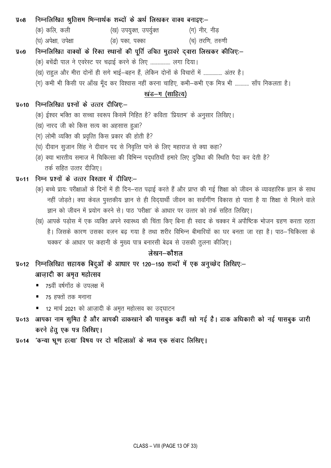#### निम्नलिखित श्रुतिसम भिन्नार्थक शब्दों के अर्थ लिखकर वाक्य बनाइए: $y_{08}$

(क) कलि, कली (ख) उपयुक्त, उपर्युक्त (ग) नीर, नीड (घ) अपेक्षा, उपेक्षा (ङ) पका, पक्का (च) तरणि, तरुणी

#### निम्नलिखित वाक्यों के रिक्त स्थानों की पूर्ति उचित मुहावरे द्वारा लिखकर कीजिए:- $\overline{y}$ 09

- (क) बचेंद्री पाल ने एवरेस्ट पर चढ़ाई करने के लिए ................. लगा दिया।
- (ख) राहुल और मीरा दोनों ही सगे भाई-बहन हैं, लेकिन दोनों के विचारों में ................ अंतर है।
- (ग) कभी भी किसी पर आँख मूँद कर विश्वास नहीं करना चाहिए, कभी-कभी एक मित्र भी ............ साँप निकलता है।

### खंड–ग (साहित्य)

#### निम्नलिखित प्रश्नों के उत्तर दीजिए:- $\sqrt{4}$ 010

- (क) ईश्वर भक्ति का सच्चा स्वरूप किसमें निहित है? कविता 'प्रियतम' के अनुसार लिखिए।
- (ख) नारद जी को किस सत्य का अहसास हुआ?
- (ग) लोभी व्यक्ति की प्रवृत्ति किस प्रकार की होती है?
- (घ) दीवान सृजान सिंह ने दीवान पद से निवृत्ति पाने के लिए महाराज से क्या कहा?
- (ङ) क्या भारतीय समाज में चिकित्सा की विभिन्न पद्धतियाँ हमारे लिए दुविधा की स्थिति पैदा कर देती है? तर्क सहित उत्तर दीजिए।

### प्र०11 निम्न प्रश्नों के उत्तर विस्तार में दीजिए:-

- (क) बच्चे प्रायः परीक्षाओं के दिनों में ही दिन–रात पढ़ाई करते हैं और प्राप्त की गई शिक्षा को जीवन के व्यावहारिक ज्ञान के साथ नहीं जोड़ते। क्या केवल पुस्तकीय ज्ञान से ही विद्यार्थी जीवन का सर्वांगींण विकास हो पाता है या शिक्षा से मिलने वाले ज्ञान को जीवन में प्रयोग करने से। पाठ 'परीक्षा' के आधार पर उत्तर को तर्क सहित लिखिए।
- (ख) आपके पड़ोस में एक व्यक्ति अपने स्वास्थ्य की चिंता किए बिना ही स्वाद के चक्कर में अपौष्टिक भोजन ग्रहण करता रहता है। जिसके कारण उसका वज़न बढ़ गया है तथा शरीर विभिन्न बीमारियों का घर बनता जा रहा है। पाठ–'चिकित्सा के चक्कर' के आधार पर कहानी के मुख्य पात्र बनारसी बेढब से उसकी तुलना कीजिए।

### लेखन–कौशल

- प्र०12 निम्नलिखित सहायक बिंदुओं के आधार पर 120–150 शब्दों में एक अनुच्छेद लिखिए:– आज़ादी का अमृत महोत्सव
	- 75वीं वर्षगाँत के उपलक्ष में
	- 75 हफ्तों तक मनाना
	- 12 मार्च 2021 को आज़ादी के अमृत महोत्सव का उद्घाटन
- आपका नाम सूमित है और आपकी डाकखाने की पासबुक कहीं खो गई है। डाक अधिकारी को नई पासबुक जारी  $\P$ o13 करने हेतु एक पत्र लिखिए।
- 'कन्या भ्रूण हत्या' विषय पर दो महिलाओं के मध्य एक संवाद लिखिए।  $\sqrt{4}$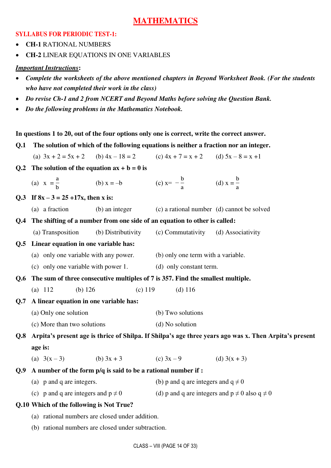### **MATHEMATICS**

### **SYLLABUS FOR PERIODIC TEST-1:**

**CH-1** RATIONAL NUMBERS

**CH-2** LINEAR EQUATIONS IN ONE VARIABLES

### *Important Instructions***:**

- *Complete the worksheets of the above mentioned chapters in Beyond Worksheet Book. (For the students who have not completed their work in the class)*
- *Do revise Ch-1 and 2 from NCERT and Beyond Maths before solving the Question Bank.*
- *Do the following problems in the Mathematics Notebook.*

### **In questions 1 to 20, out of the four options only one is correct, write the correct answer.**

**Q.1 The solution of which of the following equations is neither a fraction nor an integer.** 

(a)  $3x + 2 = 5x + 2$  (b)  $4x - 18 = 2$  (c)  $4x + 7 = x + 2$  (d)  $5x - 8 = x +1$ 

**Q.2** The solution of the equation  $ax + b = 0$  is

| (a) $x = \frac{a}{b}$<br>(b) $x = -b$ | (c) $x = -\frac{b}{a}$ | (d) $x = \frac{b}{a}$ |
|---------------------------------------|------------------------|-----------------------|
|---------------------------------------|------------------------|-----------------------|

- **Q.3** If  $8x 3 = 25 + 17x$ , then x is:
	- (a) a fraction (b) an integer (c) a rational number (d) cannot be solved
- **Q.4 The shifting of a number from one side of an equation to other is called:** 
	- (a) Transposition (b) Distributivity (c) Commutativity (d) Associativity

### **Q.5 Linear equation in one variable has:**

- (a) only one variable with any power. (b) only one term with a variable.
- (c) only one variable with power 1. (d) only constant term.
- **Q.6 The sum of three consecutive multiples of 7 is 357. Find the smallest multiple.**
- (a) 112 (b) 126 (c) 119 (d) 116

#### **Q.7 A linear equation in one variable has:**

- (a) Only one solution (b) Two solutions
- (c) More than two solutions (d) No solution

**Q.8 Arpita's present age is thrice of Shilpa. If Shilpa's age three years ago was x. Then Arpita's present age is:** 

- (a)  $3(x-3)$  (b)  $3x+3$  (c)  $3x-9$  (d)  $3(x+3)$
- **Q.9 A number of the form p/q is said to be a rational number if :** 
	- (a) p and q are integers. (b) p and q are integers and  $q \neq 0$
	- (c) p and q are integers and  $p \neq 0$  (d) p and q are integers and  $p \neq 0$  also  $q \neq 0$

### **Q.10 Which of the following is Not True?**

- (a) rational numbers are closed under addition.
- (b) rational numbers are closed under subtraction.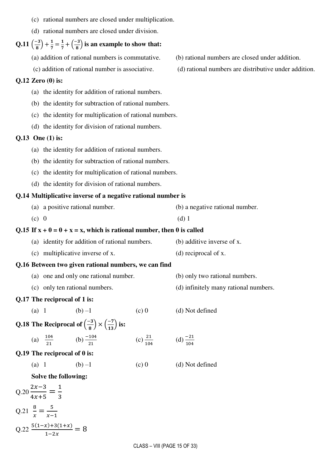| (c) rational numbers are closed under multiplication. |  |
|-------------------------------------------------------|--|
|-------------------------------------------------------|--|

(d) rational numbers are closed under division.

#### **Q.11**  $\left(\frac{-3}{8}\right)$  $\left(\frac{-3}{8}\right) + \frac{1}{7} = \frac{1}{7}$  $\frac{1}{7} + \left(\frac{-3}{8}\right)$  is an example to show that:

(a) addition of rational numbers is commutative. (b) rational numbers are closed under addition.

#### **Q.12 Zero (0) is:**

- (a) the identity for addition of rational numbers.
- (b) the identity for subtraction of rational numbers.
- (c) the identity for multiplication of rational numbers.
- (d) the identity for division of rational numbers.

#### **Q.13 One (1) is:**

- (a) the identity for addition of rational numbers.
- (b) the identity for subtraction of rational numbers.
- (c) the identity for multiplication of rational numbers.
- (d) the identity for division of rational numbers.

#### **Q.14 Multiplicative inverse of a negative rational number is**

| (a) a positive rational number. | (b) a negative rational number. |
|---------------------------------|---------------------------------|
| $(c)$ 0                         | $(d)$ 1                         |

#### **Q.15 If**  $x + 0 = 0 + x = x$ **, which is rational number, then 0 is called**

- (a) identity for addition of rational numbers. (b) additive inverse of x.
- (c) multiplicative inverse of x. (d) reciprocal of x.

### **Q.16 Between two given rational numbers, we can find**

- (a) one and only one rational number. (b) only two rational numbers.
- (c) only ten rational numbers. (d) infinitely many rational numbers.

#### **Q.17 The reciprocal of 1 is:**

- (a) 1 (b) –1 (c) 0 (d) Not defined
- **Q.18 The Reciprocal of**  $\left(\frac{-3}{8}\right)$  $\left(\frac{-3}{8}\right) \times \left(\frac{-7}{13}\right)$  is:
- (a)  $\frac{104}{21}$  (b)  $\frac{-104}{21}$  $\frac{21}{104}$  (d)  $\frac{-21}{104}$
- **Q.19 The reciprocal of 0 is:** 
	- (a) 1 (b) –1 (c) 0 (d) Not defined
- 
- 

 **Solve the following:** 

$$
Q.20 \frac{2x-3}{4x+5} = \frac{1}{3}
$$
  

$$
Q.21 \frac{8}{x} = \frac{5}{x-1}
$$
  

$$
Q.22 \frac{5(1-x)+3(1+x)}{1-2x} = 8
$$

- 
- (c) addition of rational number is associative. (d) rational numbers are distributive under addition.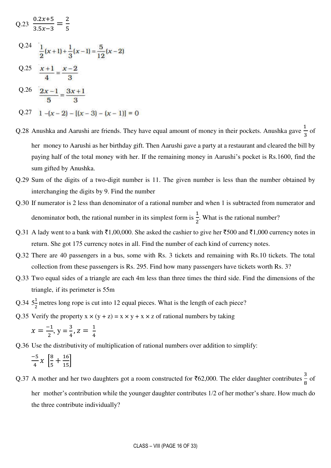$$
Q.23 \frac{0.2x+5}{3.5x-3} = \frac{2}{5}
$$
  
\n
$$
Q.24 \frac{1}{2}(x+1) + \frac{1}{3}(x-1) = \frac{5}{12}(x-2)
$$
  
\n
$$
Q.25 \frac{x+1}{4} = \frac{x-2}{3}
$$
  
\n
$$
Q.26 \frac{2x-1}{5} = \frac{3x+1}{3}
$$
  
\n
$$
Q.27 \frac{1}{-x-2} - [(x-3) - (x-1)] = 0
$$

- Q.28 Anushka and Aarushi are friends. They have equal amount of money in their pockets. Anushka gave  $\frac{1}{2}$ 3 of her money to Aarushi as her birthday gift. Then Aarushi gave a party at a restaurant and cleared the bill by paying half of the total money with her. If the remaining money in Aarushi's pocket is Rs.1600, find the sum gifted by Anushka.
- Q.29 Sum of the digits of a two-digit number is 11. The given number is less than the number obtained by interchanging the digits by 9. Find the number
- Q.30 If numerator is 2 less than denominator of a rational number and when 1 is subtracted from numerator and denominator both, the rational number in its simplest form is  $\frac{1}{2}$ 2 . What is the rational number?
- Q.31 A lady went to a bank with  $\bar{z}1,00,000$ . She asked the cashier to give her  $\bar{z}500$  and  $\bar{z}1,000$  currency notes in return. She got 175 currency notes in all. Find the number of each kind of currency notes.
- Q.32 There are 40 passengers in a bus, some with Rs. 3 tickets and remaining with Rs.10 tickets. The total collection from these passengers is Rs. 295. Find how many passengers have tickets worth Rs. 3?
- Q.33 Two equal sides of a triangle are each 4m less than three times the third side. Find the dimensions of the triangle, if its perimeter is 55m
- Q.34  $5\frac{1}{2}$  metres long rope is cut into 12 equal pieces. What is the length of each piece?
- Q.35 Verify the property  $x \times (y + z) = x \times y + x \times z$  of rational numbers by taking

$$
x = \frac{-1}{2}, y = \frac{3}{4}, z = \frac{1}{4}
$$

Q.36 Use the distributivity of multiplication of rational numbers over addition to simplify:

$$
\frac{-5}{4} \chi \left[ \frac{8}{5} + \frac{16}{15} \right]
$$

Q.37 A mother and her two daughters got a room constructed for  $\frac{3}{6}$  (2,000. The elder daughter contributes  $\frac{3}{8}$ ) 8 of her mother's contribution while the younger daughter contributes 1/2 of her mother's share. How much do the three contribute individually?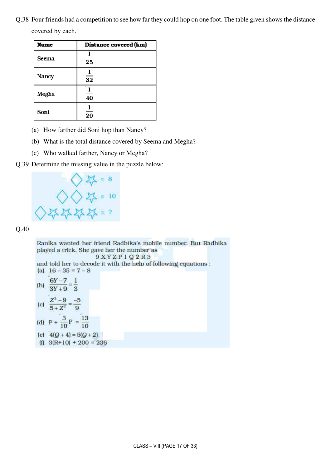Q.38 Four friends had a competition to see how far they could hop on one foot. The table given shows the distance covered by each.

| Name  | Distance covered (km) |
|-------|-----------------------|
| Seema | 25                    |
| Nancy | $\overline{32}$       |
| Megha | 40                    |
| Soni  | 20                    |

- (a) How farther did Soni hop than Nancy?
- (b) What is the total distance covered by Seema and Megha?
- (c) Who walked farther, Nancy or Megha?

#### Q.39 Determine the missing value in the puzzle below:



Q.40

Ranika wanted her friend Radhika's mobile number. But Radhika played a trick. She gave her the number as

 $9XYZP1Q2R3$ and told her to decode it with the help of following equations : (a)  $16 - 35 = 7 - 8$ 

- (b)  $\frac{6Y-7}{3Y+9} = \frac{1}{3}$ (c)  $\frac{Z^2-9}{5+Z^2}=\frac{-5}{9}$ (d)  $P + \frac{3}{10}P = \frac{13}{10}$
- (e)  $4(Q+4) = 5(Q+2)$ (f)  $3(R+10) + 200 = 236$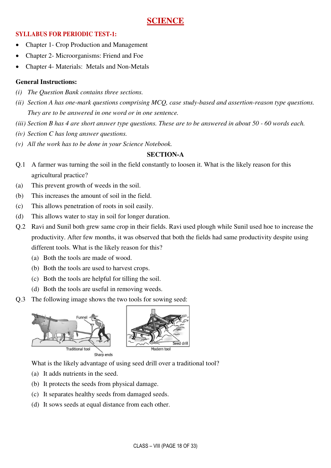### **SCIENCE**

### **SYLLABUS FOR PERIODIC TEST-1:**

- Chapter 1- Crop Production and Management
- Chapter 2- Microorganisms: Friend and Foe
- Chapter 4- Materials: Metals and Non-Metals

### **General Instructions:**

- *(i) The Question Bank contains three sections.*
- *(ii) Section A has one-mark questions comprising MCQ, case study-based and assertion-reason type questions. They are to be answered in one word or in one sentence.*
- *(iii) Section B has 4 are short answer type questions. These are to be answered in about 50 60 words each.*
- *(iv) Section C has long answer questions.*
- *(v) All the work has to be done in your Science Notebook.*

### **SECTION-A**

- Q.1 A farmer was turning the soil in the field constantly to loosen it. What is the likely reason for this agricultural practice?
- (a) This prevent growth of weeds in the soil.
- (b) This increases the amount of soil in the field.
- (c) This allows penetration of roots in soil easily.
- (d) This allows water to stay in soil for longer duration.
- Q.2 Ravi and Sunil both grew same crop in their fields. Ravi used plough while Sunil used hoe to increase the productivity. After few months, it was observed that both the fields had same productivity despite using different tools. What is the likely reason for this?
	- (a) Both the tools are made of wood.
	- (b) Both the tools are used to harvest crops.
	- (c) Both the tools are helpful for tilling the soil.
	- (d) Both the tools are useful in removing weeds.
- Q.3 The following image shows the two tools for sowing seed:



What is the likely advantage of using seed drill over a traditional tool?

- (a) It adds nutrients in the seed.
- (b) It protects the seeds from physical damage.
- (c) It separates healthy seeds from damaged seeds.
- (d) It sows seeds at equal distance from each other.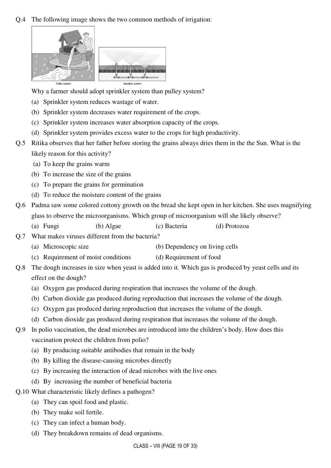### Q.4 The following image shows the two common methods of irrigation:



Why a farmer should adopt sprinkler system than pulley system?

- (a) Sprinkler system reduces wastage of water.
- (b) Sprinkler system decreases water requirement of the crops.
- (c) Sprinkler system increases water absorption capacity of the crops.
- (d) Sprinkler system provides excess water to the crops for high productivity.
- Q.5 Ritika observes that her father before storing the grains always dries them in the the Sun. What is the likely reason for this activity?
	- (a) To keep the grains warm
	- (b) To increase the size of the grains
	- (c) To prepare the grains for germination
	- (d) To reduce the moisture content of the grains
- Q.6 Padma saw some colored cottony growth on the bread she kept open in her kitchen. She uses magnifying glass to observe the microorganisms. Which group of microorganism will she likely observe?
	- (a) Fungi (b) Algae (c) Bacteria (d) Protozoa
- Q.7 What makes viruses different from the bacteria?
	- (a) Microscopic size (b) Dependency on living cells
	- (c) Requirement of moist conditions (d) Requirement of food
- Q.8 The dough increases in size when yeast is added into it. Which gas is produced by yeast cells and its effect on the dough?
	- (a) Oxygen gas produced during respiration that increases the volume of the dough.
	- (b) Carbon dioxide gas produced during reproduction that increases the volume of the dough.
	- (c) Oxygen gas produced during reproduction that increases the volume of the dough.
	- (d) Carbon dioxide gas produced during respiration that increases the volume of the dough.
- Q.9 In polio vaccination, the dead microbes are introduced into the children's body. How does this vaccination protect the children from polio?
	- (a) By producing suitable antibodies that remain in the body
	- (b) By killing the disease-causing microbes directly
	- (c) By increasing the interaction of dead microbes with the live ones
	- (d) By increasing the number of beneficial bacteria
- Q.10 What characteristic likely defines a pathogen?
	- (a) They can spoil food and plastic.
	- (b) They make soil fertile.
	- (c) They can infect a human body.
	- (d) They breakdown remains of dead organisms.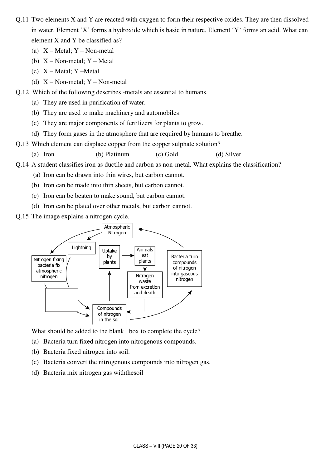- Q.11 Two elements X and Y are reacted with oxygen to form their respective oxides. They are then dissolved in water. Element 'X' forms a hydroxide which is basic in nature. Element 'Y' forms an acid. What can element X and Y be classified as?
	- (a)  $X Metal$ ;  $Y Non-metal$
	- (b)  $X Non-metal$ ;  $Y Metal$
	- (c)  $X Metal$ ;  $Y Metal$
	- (d)  $X Non-metal$ ;  $Y Non-metal$
- Q.12 Which of the following describes -metals are essential to humans.
	- (a) They are used in purification of water.
	- (b) They are used to make machinery and automobiles.
	- (c) They are major components of fertilizers for plants to grow.
	- (d) They form gases in the atmosphere that are required by humans to breathe.
- Q.13 Which element can displace copper from the copper sulphate solution?
	- (a) Iron (b) Platinum (c) Gold (d) Silver
- Q.14 A student classifies iron as ductile and carbon as non-metal. What explains the classification?
	- (a) Iron can be drawn into thin wires, but carbon cannot.
	- (b) Iron can be made into thin sheets, but carbon cannot.
	- (c) Iron can be beaten to make sound, but carbon cannot.
	- (d) Iron can be plated over other metals, but carbon cannot.
- Q.15 The image explains a nitrogen cycle.



What should be added to the blank box to complete the cycle?

- (a) Bacteria turn fixed nitrogen into nitrogenous compounds.
- (b) Bacteria fixed nitrogen into soil.
- (c) Bacteria convert the nitrogenous compounds into nitrogen gas.
- (d) Bacteria mix nitrogen gas withthesoil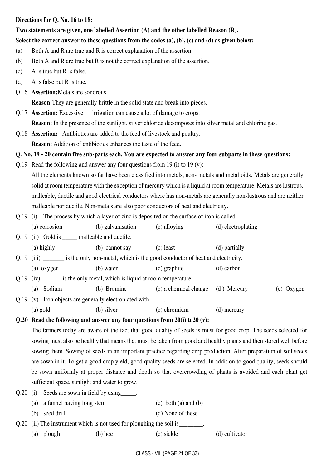#### **Directions for Q. No. 16 to 18:**

### **Two statements are given, one labelled Assertion (A) and the other labelled Reason (R).**

### **Select the correct answer to these questions from the codes (a), (b), (c) and (d) as given below:**

- (a) Both A and R are true and R is correct explanation of the assertion.
- (b) Both A and R are true but R is not the correct explanation of the assertion.
- (c) A is true but R is false.
- (d) A is false but R is true.
- Q.16 **Assertion:**Metals are sonorous.

**Reason:**They are generally brittle in the solid state and break into pieces.

Q.17 **Assertion:** Excessive irrigation can cause a lot of damage to crops.

**Reason:** In the presence of the sunlight, silver chloride decomposes into silver metal and chlorine gas.

Q.18 **Assertion:** Antibiotics are added to the feed of livestock and poultry. **Reason:** Addition of antibiotics enhances the taste of the feed.

### **Q. No. 19 - 20 contain five sub-parts each. You are expected to answer any four subparts in these questions:**

- Q.19 Read the following and answer any four questions from 19 (i) to 19 (v): All the elements known so far have been classified into metals, non- metals and metalloids. Metals are generally solid at room temperature with the exception of mercury which is a liquid at room temperature. Metals are lustrous, malleable, ductile and good electrical conductors where has non-metals are generally non-lustrous and are neither malleable nor ductile. Non-metals are also poor conductors of heat and electricity.
- Q.19 (i) The process by which a layer of zinc is deposited on the surface of iron is called \_\_\_\_.

(a) corrosion (b) galvanisation (c) alloying (d) electroplating

Q.19 (ii) Gold is \_\_\_\_\_ malleable and ductile.

(a) highly (b) cannot say (c) least (d) partially

Q.19 (iii) \_\_\_\_\_\_\_ is the only non-metal, which is the good conductor of heat and electricity.

(a) oxygen (b) water (c) graphite (d) carbon

### Q.19 (iv) is the only metal, which is liquid at room temperature.

- (a) Sodium (b) Bromine (c) a chemical change (d ) Mercury (e) Oxygen
- Q.19 (v) Iron objects are generally electroplated with (a) gold (b) silver (c) chromium (d) mercury

### **Q.20 Read the following and answer any four questions from 20(i) to20 (v):**

 The farmers today are aware of the fact that good quality of seeds is must for good crop. The seeds selected for sowing must also be healthy that means that must be taken from good and healthy plants and then stored well before sowing them. Sowing of seeds in an important practice regarding crop production. After preparation of soil seeds are sown in it. To get a good crop yield, good quality seeds are selected. In addition to good quality, seeds should be sown uniformly at proper distance and depth so that overcrowding of plants is avoided and each plant get sufficient space, sunlight and water to grow.

- Q.20 (i) Seeds are sown in field by using .
	- (a) a funnel having long stem (c) both (a) and (b)
	- (b) seed drill (d) None of these

Q.20 (ii) The instrument which is not used for ploughing the soil is

(a) plough (b) hoe (c) sickle (d) cultivator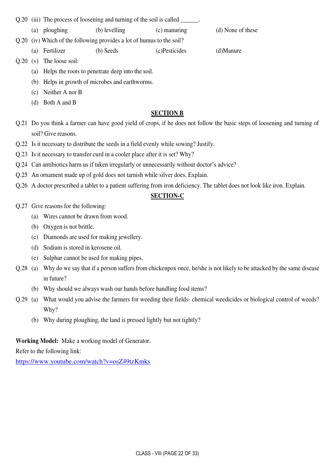Q.20 (iii) The process of loosening and turning of the soil is called \_\_\_\_\_\_\_\_\_\_

- (a) ploughing (b) levelling (c) manuring (d) None of these
- Q.20 (iv) Which of the following provides a lot of humus to the soil?
	- (a) Fertilizer (b) Seeds (c)Pesticides (d)Manure

- Q.20 (v) The loose soil:
	- (a) Helps the roots to penetrate deep into the soil.
	- (b) Helps in growth of microbes and earthworms.
	- (c) Neither A nor B
	- (d) Both A and B

### **SECTION B**

- Q.21 Do you think a farmer can have good yield of crops, if he does not follow the basic steps of loosening and turning of soil? Give reasons.
- Q.22 Is it necessary to distribute the seeds in a field evenly while sowing? Justify.
- Q.23 Is it necessary to transfer curd in a cooler place after it is set? Why?
- Q.24 Can antibiotics harm us if taken irregularly or unnecessarily without doctor's advice?
- Q.25 An ornament made up of gold does not tarnish while silver does. Explain.
- Q.26 A doctor prescribed a tablet to a patient suffering from iron deficiency. The tablet does not look like iron. Explain.

### **SECTION-C**

- Q.27 Give reasons for the following:
	- (a) Wires cannot be drawn from wood.
	- (b) Oxygen is not brittle.
	- (c) Diamonds are used for making jewellery.
	- (d) Sodium is stored in kerosene oil.
	- (e) Sulphur cannot be used for making pipes.
- Q.28 (a) Why do we say that if a person suffers from chickenpox once, he/she is not likely to be attacked by the same disease in future?
	- (b) Why should we always wash our hands before handling food items?
- Q.29 (a) What would you advise the farmers for weeding their fields- chemical weedicides or biological control of weeds? Why?
	- (b) Why during ploughing, the land is pressed lightly but not tightly?

### **Working Model:** Make a working model of Generator.

Refer to the following link:

<https://www.youtube.com/watch?v=osZ49tzKmks>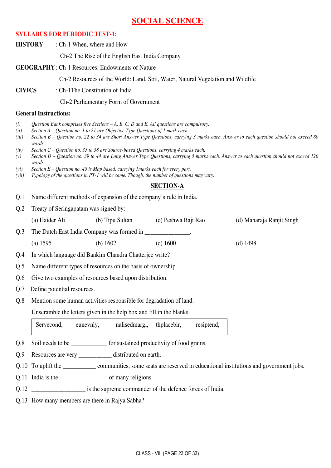### **SOCIAL SCIENCE**

### **SYLLABUS FOR PERIODIC TEST-1:**

|                              | <b>HISTORY</b>               | : Ch-1 When, where and How                                                                                                                                                                                                                                             |                     |                                                                                                                                        |
|------------------------------|------------------------------|------------------------------------------------------------------------------------------------------------------------------------------------------------------------------------------------------------------------------------------------------------------------|---------------------|----------------------------------------------------------------------------------------------------------------------------------------|
|                              |                              | Ch-2 The Rise of the English East India Company                                                                                                                                                                                                                        |                     |                                                                                                                                        |
|                              |                              | <b>GEOGRAPHY: Ch-1 Resources: Endowments of Nature</b>                                                                                                                                                                                                                 |                     |                                                                                                                                        |
|                              |                              | Ch-2 Resources of the World: Land, Soil, Water, Natural Vegetation and Wildlife                                                                                                                                                                                        |                     |                                                                                                                                        |
| <b>CIVICS</b>                |                              | : Ch-1The Constitution of India                                                                                                                                                                                                                                        |                     |                                                                                                                                        |
|                              |                              | Ch-2 Parliamentary Form of Government                                                                                                                                                                                                                                  |                     |                                                                                                                                        |
|                              | <b>General Instructions:</b> |                                                                                                                                                                                                                                                                        |                     |                                                                                                                                        |
| (i)<br>(ii)<br>(iii)<br>(iv) | words.                       | Question Bank comprises five Sections $-A$ , B, C, D and E. All questions are compulsory.<br>Section $A - Question$ no. 1 to 21 are Objective Type Questions of 1 mark each.<br>Section $C -$ Question no. 35 to 38 are Source-based Questions, carrying 4 marks each. |                     | Section B - Question no. 22 to 34 are Short Answer Type Questions, carrying 3 marks each. Answer to each question should not exceed 80 |
| (v)                          |                              |                                                                                                                                                                                                                                                                        |                     | Section D - Question no. 39 to 44 are Long Answer Type Questions, carrying 5 marks each. Answer to each question should not exceed 120 |
| (vi)<br>(vii)                | words.                       | Section $E -$ Question no. 45 is Map based, carrying 1 marks each for every part.<br>Typology of the questions in PT-1 will be same. Though, the number of questions may vary.                                                                                         |                     |                                                                                                                                        |
|                              |                              |                                                                                                                                                                                                                                                                        | <b>SECTION-A</b>    |                                                                                                                                        |
| Q.1                          |                              | Name different methods of expansion of the company's rule in India.                                                                                                                                                                                                    |                     |                                                                                                                                        |
| Q.2                          |                              | Treaty of Seringapatam was signed by:                                                                                                                                                                                                                                  |                     |                                                                                                                                        |
|                              | (a) Haider Ali               | (b) Tipu Sultan                                                                                                                                                                                                                                                        | (c) Peshwa Baji Rao | (d) Maharaja Ranjit Singh                                                                                                              |
| Q.3                          |                              |                                                                                                                                                                                                                                                                        |                     |                                                                                                                                        |
|                              | $(a)$ 1595                   | (b) $1602$                                                                                                                                                                                                                                                             | (c) 1600            | $(d)$ 1498                                                                                                                             |
| Q.4                          |                              | In which language did Bankim Chandra Chatterjee write?                                                                                                                                                                                                                 |                     |                                                                                                                                        |
| Q.5                          |                              | Name different types of resources on the basis of ownership.                                                                                                                                                                                                           |                     |                                                                                                                                        |
| Q.6                          |                              | Give two examples of resources based upon distribution.                                                                                                                                                                                                                |                     |                                                                                                                                        |
| Q.7                          | Define potential resources.  |                                                                                                                                                                                                                                                                        |                     |                                                                                                                                        |
| Q.8                          |                              | Mention some human activities responsible for degradation of land.                                                                                                                                                                                                     |                     |                                                                                                                                        |
|                              |                              | Unscramble the letters given in the help box and fill in the blanks.                                                                                                                                                                                                   |                     |                                                                                                                                        |
|                              | Servecond,                   | nalised margi,<br>eunevnly,                                                                                                                                                                                                                                            | thplacebir,         | resiptend,                                                                                                                             |
| Q.8                          |                              | Soil needs to be ______________ for sustained productivity of food grains.                                                                                                                                                                                             |                     |                                                                                                                                        |
| Q.9                          |                              | Resources are very __________ distributed on earth.                                                                                                                                                                                                                    |                     |                                                                                                                                        |
|                              |                              |                                                                                                                                                                                                                                                                        |                     | Q.10 To uplift the ___________________ communities, some seats are reserved in educational institutions and government jobs.           |
|                              |                              |                                                                                                                                                                                                                                                                        |                     |                                                                                                                                        |
|                              |                              | Q.12 ______________________ is the supreme commander of the defence forces of India.                                                                                                                                                                                   |                     |                                                                                                                                        |
|                              |                              | Q.13 How many members are there in Rajya Sabha?                                                                                                                                                                                                                        |                     |                                                                                                                                        |

CLASS - VIII (PAGE 23 OF 33)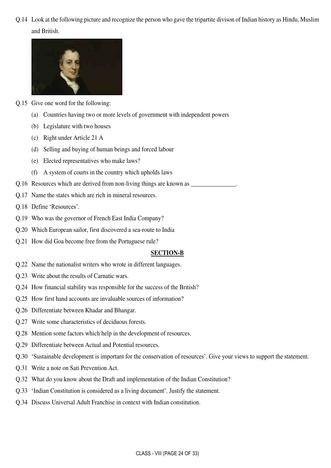Q.14 Look at the following picture and recognize the person who gave the tripartite divison of Indian history as Hindu, Muslim and British.



- Q.15 Give one word for the following:
	- (a) Countries having two or more levels of government with independent powers
	- (b) Legislature with two houses
	- (c) Right under Article 21 A
	- (d) Selling and buying of human beings and forced labour
	- (e) Elected representatives who make laws?
	- (f) A system of courts in the country which upholds laws
- Q.16 Resources which are derived from non-living things are known as
- Q.17 Name the states which are rich in mineral resources.
- Q.18 Define 'Resources'.
- Q.19 Who was the governor of French East India Company?
- Q.20 Which European sailor, first discovered a sea-route to India
- Q.21 How did Goa become free from the Portuguese rule?

#### **SECTION-B**

- Q.22 Name the nationalist writers who wrote in different languages.
- Q.23 Write about the results of Carnatic wars.
- Q.24 How financial stability was responsible for the success of the British?
- Q.25 How first hand accounts are invaluable sources of information?
- Q.26 Differentiate between Khadar and Bhangar.
- Q.27 Write some characteristics of deciduous forests.
- Q.28 Mention some factors which help in the development of resources.
- Q.29 Differentiate between Actual and Potential resources.
- Q.30 'Sustainable development is important for the conservation of resources'. Give your views to support the statement.
- Q.31 Write a note on Sati Prevention Act.
- Q.32 What do you know about the Draft and implementation of the Indian Constitution?
- Q.33 'Indian Constitution is considered as a living document'. Justify the statement.
- Q.34 Discuss Universal Adult Franchise in context with Indian constitution.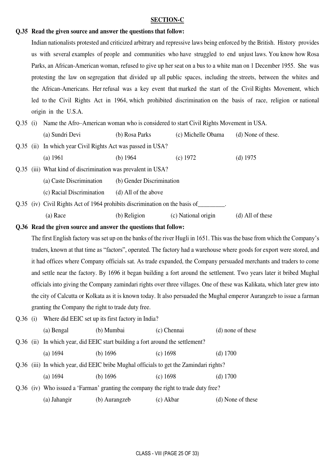#### **SECTION-C**

#### **Q.35 Read the given source and answer the questions that follow:**

 Indian nationalists protested and criticized arbitrary and repressive laws being enforced by the British. History provides us with several examples of people and communities who have struggled to end unjust laws. You know how Rosa Parks, an African-American woman, refused to give up her seat on a bus to a white man on 1 December 1955. She was protesting the law on segregation that divided up all public spaces, including the streets, between the whites and the African-Americans. Her refusal was a key event that marked the start of the Civil Rights Movement, which led to the Civil Rights Act in 1964, which prohibited discrimination on the basis of race, religion or national origin in the U.S.A.

Q.35 (i) Name the Afro–American woman who is considered to start Civil Rights Movement in USA. (a) Sundri Devi (b) Rosa Parks (c) Michelle Obama (d) None of these.

|  | Q.35 (ii) In which year Civil Rights Act was passed in USA?                 |                           |            |            |
|--|-----------------------------------------------------------------------------|---------------------------|------------|------------|
|  | (a) 1961                                                                    | (b) $1964$                | (c) $1972$ | (d) $1975$ |
|  | Q.35 (iii) What kind of discrimination was prevalent in USA?                |                           |            |            |
|  | (a) Caste Discrimination                                                    | (b) Gender Discrimination |            |            |
|  | (c) Racial Discrimination                                                   | (d) All of the above      |            |            |
|  | Q.35 (iv) Civil Rights Act of 1964 prohibits discrimination on the basis of |                           |            |            |

(a) Race (b) Religion (c) National origin (d) All of these

#### **Q.36 Read the given source and answer the questions that follow:**

 The first English factory was set up on the banks of the river Hugli in 1651. This was the base from which the Company's traders, known at that time as "factors", operated. The factory had a warehouse where goods for export were stored, and it had offices where Company officials sat. As trade expanded, the Company persuaded merchants and traders to come and settle near the factory. By 1696 it began building a fort around the settlement. Two years later it bribed Mughal officials into giving the Company zamindari rights over three villages. One of these was Kalikata, which later grew into the city of Calcutta or Kolkata as it is known today. It also persuaded the Mughal emperor Aurangzeb to issue a farman granting the Company the right to trade duty free.

Q.36 (i) Where did EEIC set up its first factory in India?

 (a) Bengal (b) Mumbai (c) Chennai (d) none of these Q.36 (ii) In which year, did EEIC start building a fort around the settlement? (a) 1694 (b) 1696 (c) 1698 (d) 1700 Q.36 (iii) In which year, did EEIC bribe Mughal officials to get the Zamindari rights? (a) 1694 (b) 1696 (c) 1698 (d) 1700 Q.36 (iv) Who issued a 'Farman' granting the company the right to trade duty free? (a) Jahangir (b) Aurangzeb (c) Akbar (d) None of these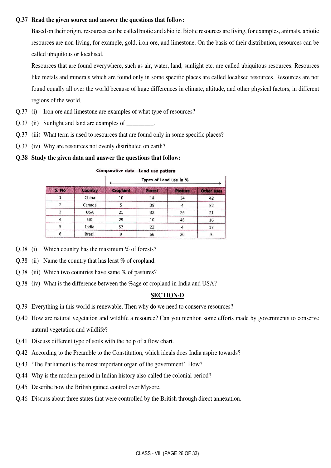#### **Q.37 Read the given source and answer the questions that follow:**

 Based on their origin, resources can be called biotic and abiotic. Biotic resources are living, for examples, animals, abiotic resources are non-living, for example, gold, iron ore, and limestone. On the basis of their distribution, resources can be called ubiquitous or localised.

Resources that are found everywhere, such as air, water, land, sunlight etc. are called ubiquitous resources. Resources like metals and minerals which are found only in some specific places are called localised resources. Resources are not found equally all over the world because of huge differences in climate, altitude, and other physical factors, in different regions of the world.

- Q.37 (i) Iron ore and limestone are examples of what type of resources?
- Q.37 (ii) Sunlight and land are examples of
- Q.37 (iii) What term is used to resources that are found only in some specific places?
- Q.37 (iv) Why are resources not evenly distributed on earth?

### **Q.38 Study the given data and answer the questions that follow:**

|       |                | Types of Land use in % |        |         |                   |
|-------|----------------|------------------------|--------|---------|-------------------|
| S. No | <b>Country</b> | <b>Cropland</b>        | Forest | Pasture | <b>Other uses</b> |
|       | China          | 10                     | 14     | 34      | 42                |
| 7     | Canada         |                        | 39     |         | 52                |
| 3     | <b>USA</b>     | 21                     | 32     | 26      | 21                |
| 4     | UK             | 29                     | 10     | 46      | 16                |
|       | India          | 57                     | 22     |         | 17                |
| 6     | <b>Brazil</b>  |                        | 66     | 20      |                   |

Comparative data-Land use pattern

- $Q.38$  (i) Which country has the maximum % of forests?
- Q.38 (ii) Name the country that has least % of cropland.
- Q.38 (iii) Which two countries have same % of pastures?
- Q.38 (iv) What is the difference between the %age of cropland in India and USA?

### **SECTION-D**

- Q.39 Everything in this world is renewable. Then why do we need to conserve resources?
- Q.40 How are natural vegetation and wildlife a resource? Can you mention some efforts made by governments to conserve natural vegetation and wildlife?
- Q.41 Discuss different type of soils with the help of a flow chart.
- Q.42 According to the Preamble to the Constitution, which ideals does India aspire towards?
- Q.43 'The Parliament is the most important organ of the government'. How?
- Q.44 Why is the modern period in Indian history also called the colonial period?
- Q.45 Describe how the British gained control over Mysore.
- Q.46 Discuss about three states that were controlled by the British through direct annexation.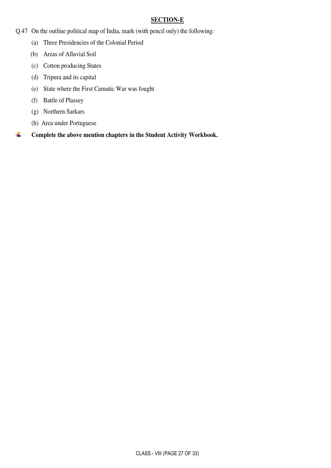### **SECTION-E**

- Q.47 On the outline political map of India, mark (with pencil only) the following:
	- (a) Three Presidencies of the Colonial Period
	- (b) Areas of Alluvial Soil
	- (c) Cotton producing States
	- (d) Tripura and its capital
	- (e) State where the First Carnatic War was fought
	- (f) Battle of Plassey
	- (g) Northern Sarkars
	- (h) Area under Portuguese

**Complete the above mention chapters in the Student Activity Workbook.**  ÷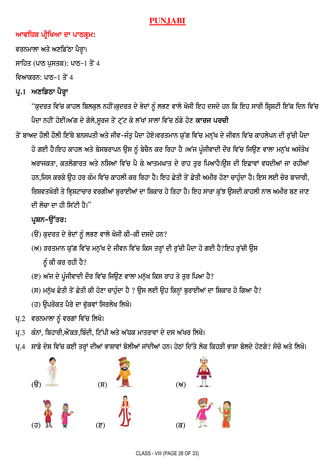### **PUNJABI**

### ਆਵਧਿਕ ਪ੍ਰੀਖਿਆ ਦਾ ਪਾਠਕ੍ਰਮ:

ਵਰਨਮਾਲਾ ਅਤੇ ਅਣਡਿੱਠਾ ਪੈਰ੍ਹਾ। ਸਾਹਿਤ (ਪਾਠ ਪੁਸਤਕ): ਪਾਠ-1 ਤੋਂ 4 ਵਿਆਕਰਨ: ਪਾਨ–1 ਤੋਂ 4

## ਪ੍ਰ.1 ਅਣਡਿਠਾ ਪੈਰ੍ਹਾ

"ਕੁਦਰਤ ਵਿੱਚ ਕਾਹਲ ਬਿਲਕੁਲ ਨਹੀਂ।ਕੁਦਰਤ ਦੇ ਭੇਦਾਂ ਨੂੰ ਲਭਣ ਵਾਲੇ ਖੋਜੀ ਇਹ ਦਸਦੇ ਹਨ ਕਿ ਇਹ ਸਾਰੀ ਸ਼੍ਰਿਸ਼ਟੀ ਇੱਕ ਦਿਨ ਵਿੱਚ ਪੈਦਾ ਨਹੀਂ ਹੋਈ।ਅੱਗ ਦੇ ਗੋਲੇ,ਸੂਰਜ ਤੋਂ ਟੁੱਟ ਕੇ ਲੱਖਾਂ ਸਾਲਾਂ ਵਿੱਚ ਠੰਡੇ ਹੋਣ **ਕਾਰਜ ਪਰਚੀ** 

ਤੋਂ ਬਾਅਦ ਹੋਲੀ ਹੋਲੀ ਇੱਥੇ ਬਨਸਪਤੀ ਅਤੇ ਜੀਵ-ਜੰਤੂ ਪੈਦਾ ਹੋਏ।ਵਰਤਮਾਨ ਯੁੱਗ ਵਿੱਚ ਮਨੁੱਖ ਦੇ ਜੀਵਨ ਵਿੱਚ ਕਾਹਲੇਪਨ ਦੀ ਰੁੱਚੀ ਪੈਦਾ ਹੋ ਗਈ ਹੈ।ਇਹ ਕਾਹਲ ਅਤੇ ਬੇਸਬਰਾਪਨ ਉਸ ਨੂੰ ਬੇਚੈਨ ਕਰ ਰਿਹਾ ਹੈ ।ਅੱਜ ਪੂੰਜੀਵਾਦੀ ਦੌਰ ਵਿੱਚ ਜਿਉਣ ਵਾਲਾ ਮਨੁੱਖ ਅਸੰਤੋਖ ਅਰਾਜਕਤਾ, ਕਤਲੋਗਾਰਤ ਅਤੇ ਨਸ਼ਿਆਂ ਵਿੱਚ ਪੈ ਕੇ ਆਤਮਘਾਤ ਦੇ ਰਾਹ ਤਰ ਪਿਆਹੈ।ੳਸ ਦੀ ਇਛਾਵਾਂ ਵਧਦੀਆਂ ਜਾ ਰਹੀਆਂ ਹਨ,ਜਿਸ ਕਰਕੇ ਉਹ ਹਰ ਕੰਮ ਵਿੱਚ ਕਾਹਲੀ ਕਰ ਰਿਹਾ ਹੈ। ਇਹ ਛੇਤੀ ਤੋਂ ਛੇਤੀ ਅਮੀਰ ਹੋਣਾ ਚਾਹੁੰਦਾ ਹੈ। ਇਸ ਲਈ ਚੋਰ ਬਾਜਾਰੀ, ਰਿਸ਼ਵਤਖੋਰੀ ਤੇ ਭ੍ਰਿਸ਼ਟਾਚਾਰ ਵਰਗੀਆਂ ਬੁਰਾਈਆਂ ਦਾ ਸ਼ਿਕਾਰ ਹੋ ਰਿਹਾ ਹੈ। ਇਹ ਸਾਰਾ ਕੁੱਝ ਉਸਦੀ ਕਾਹਲੀ ਨਾਲ ਅਮੀਰ ਬਣ ਜਾਣ ਦੀ ਲੋਜਾ ਦਾ ਹੀ ਸਿੱਟੀ ਹੈ।"

### ਪ੍ਰਸ਼ਨ-ੳੱਤਰ:

- (ੳ) ਕੁਦਰਤ ਦੇ ਭੇਦਾਂ ਨੂੰ ਲਭਣ ਵਾਲੇ ਖੋਜੀ ਕੀ-ਕੀ ਦਸਦੇ ਹਨ?
- (ਅ) ੜਰਤਮਾਨ ਯੁੱਗ ਵਿੱਚ ਮਨੁੱਖ ਦੇ ਜੀਵਨ ਵਿੱਚ ਕਿਸ ਤਰ੍ਹਾਂ ਦੀ ਰੁੱਚੀ ਪੈਦਾ ਹੋ ਗਈ ਹੈ?ਇਹ ਰੁੱਚੀ ਉਸ ਨੂੰ ਕੀ ਕਰ ਰਹੀ ਹੈ?
- (ੲ) ਅੱਜ ਦੇ ਪੁੰਜੀਵਾਦੀ ਦੌਰ ਵਿੱਚ ਜਿਉਣ ਵਾਲਾ ਮਨੁੱਖ ਕਿਸ ਰਾਹ ਤੇ ਤੁਰ ਪਿਆ ਹੈ?
- (ਸ) ਮਨੁੱਖ ਛੇਤੀ ਤੋਂ ਛੇਤੀ ਕੀ ਹੋਣਾ ਚਾਹੁੰਦਾ ਹੈ ? ਉਸ ਲਈ ਉਹ ਕਿਨ੍ਹਾਂ ਬੁਰਾਈਆਂ ਦਾ ਸ਼ਿਕਾਰ ਹੋ ਗਿਆ ਹੈ?
- (ਹ) ਉਪਰੋਕਤ ਪੈਰੇ ਦਾ ਢੁੱਕਵਾਂ ਸਿਰਲੇਖ ਲਿਖੋ।
- ਪ੍ਰ.2 ਵਰਨਮਾਲਾ ਨੂੰ ਵਰਗਾਂ ਵਿੱਚ ਲਿਖੋ।
- ਪ੍ਰ.3 ਕੰਨਾਂ, ਬਿਹਾਰੀ,ਔਂਕੜ,ਬਿੰਦੀ, ਟਿੱਪੀ ਅਤੇ ਅੱਧਕ ਮਾਤਰਾਵਾਂ ਦੇ ਦਸ ਅੱਖਰ ਲਿਖੋ।
- ਪ੍ਰ.4 ਸਾਡੇ ਦੇਸ਼ ਵਿੱਚ ਕਈ ਤਰ੍ਹਾਂ ਦੀਆਂ ਭਾਸ਼ਾਵਾਂ ਬੋਲੀਆਂ ਜਾਂਦੀਆਂ ਹਨ। ਹੇਠਾਂ ਦਿੱਤੇ ਲੋਕ ਕਿਹੜੀ ਭਾਸ਼ਾ ਬੋਲਦੇ ਹੋਣਗੇ? ਸੋਚੋ ਅਤੇ ਲਿਖੋ।

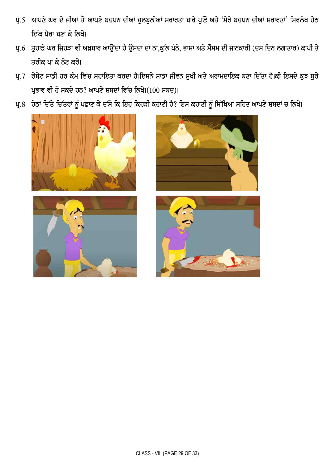- ਪ੍ਰ.5 ਆਪਣੇ ਘਰ ਦੇ ਜੀਆਂ ਤੋਂ ਆਪਣੇ ਬਚਪਨ ਦੀਆਂ ਚੁਲਬੁਲੀਆਂ ਸ਼ਰਾਰਤਾਂ ਬਾਰੇ ਪੁੱਛੋ ਅਤੇ 'ਮੇਰੇ ਬਚਪਨ ਦੀਆਂ ਸ਼ਰਾਰਤਾਂ' ਸਿਰਲੇਖ ਹੇਠ ਇੱਕ ਪੈਰਾ ਬਣਾ ਕੇ ਲਿਖੋ।
- ਪ੍ਰ.6 ਤੁਹਾਡੇ ਘਰ ਜਿਹੜਾ ਵੀ ਅਖ਼ਬਾਰ ਆਉਂਦਾ ਹੈ ਉਸਦਾ ਦਾ ਨਾਂ,ਕੁੱਲ ਪੰਨੇ, ਭਾਸ਼ਾ ਅਤੇ ਮੌਸਮ ਦੀ ਜਾਨਕਾਰੀ (ਦਸ ਦਿਨ ਲਗਾਤਾਰ) ਕਾਪੀ ਤੇ ਤਰੀਕ ਪਾ ਕੇ ਨੋਟ ਕਰੋ।
- ਪ੍ਰ.7 ਰੋਬੋਟ ਸਾਡੀ ਹਰ ਕੰਮ ਵਿੱਚ ਸਹਾਇਤਾ ਕਰਦਾ ਹੈ।ਇਸਨੇ ਸਾਡਾ ਜੀਵਨ ਸੁਖੀ ਅਤੇ ਅਰਾਮਦਾਇਕ ਬਣਾ ਦਿੱਤਾ ਹੈ।ਕੀ ਇਸਦੇ ਕੁਝ ਬੁਰੇ ਪ੍ਰਭਾਵ ਵੀ ਹੋ ਸਕਦੇ ਹਨ? ਆਪਣੇ ਸ਼ਬਦਾਂ ਵਿੱਚ ਲਿਖੋ। $(100 \text{ m}$ ਬਦ)।
- ਪ੍ਰ.8 ਹੇਠਾਂ ਦਿੱਤੇ ਚਿੱਤਰਾਂ ਨੂੰ ਪਛਾਣ ਕੇ ਦੱਸੋ ਕਿ ਇਹ ਕਿਹੜੀ ਕਹਾਣੀ ਹੈ? ਇਸ ਕਹਾਣੀ ਨੂੰ ਸਿੱਖਿਆ ਸਹਿਤ ਆਪਣੇ ਸ਼ਬਦਾਂ ਚ ਲਿਖੋ।





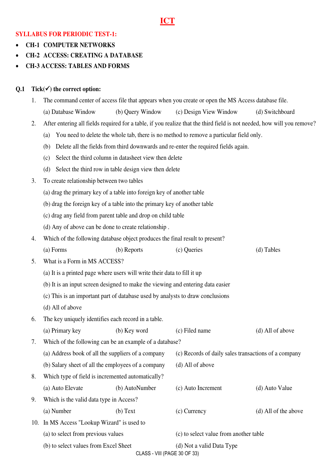### **ICT**

### **SYLLABUS FOR PERIODIC TEST-1:**

- **CH-1 COMPUTER NETWORKS**
- **CH-2 ACCESS: CREATING A DATABASE**
- **CH-3 ACCESS: TABLES AND FORMS**

### **Q.1 Tick() the correct option:**

- 1. The command center of access file that appears when you create or open the MS Access database file.
	- (a) Database Window (b) Query Window (c) Design View Window (d) Switchboard
- 2. After entering all fields required for a table, if you realize that the third field is not needed, how will you remove?
	- (a) You need to delete the whole tab, there is no method to remove a particular field only.
	- (b) Delete all the fields from third downwards and re-enter the required fields again.
	- (c) Select the third column in datasheet view then delete
	- (d) Select the third row in table design view then delete
- 3. To create relationship between two tables
	- (a) drag the primary key of a table into foreign key of another table
	- (b) drag the foreign key of a table into the primary key of another table
	- (c) drag any field from parent table and drop on child table
	- (d) Any of above can be done to create relationship .
- 4. Which of the following database object produces the final result to present?
	- (a) Forms (b) Reports (c) Queries (d) Tables
- 5. What is a Form in MS ACCESS?
	- (a) It is a printed page where users will write their data to fill it up
	- (b) It is an input screen designed to make the viewing and entering data easier
	- (c) This is an important part of database used by analysts to draw conclusions
	- (d) All of above
- 6. The key uniquely identifies each record in a table.
- (a) Primary key (b) Key word (c) Filed name (d) All of above 7. Which of the following can be an example of a database? (a) Address book of all the suppliers of a company (c) Records of daily sales transactions of a company (b) Salary sheet of all the employees of a company (d) All of above 8. Which type of field is incremented automatically?
- (a) Auto Elevate (b) AutoNumber (c) Auto Increment (d) Auto Value 9. Which is the valid data type in Access? (a) Number (b) Text (c) Currency (d) All of the above 10. In MS Access "Lookup Wizard" is used to (a) to select from previous values (c) to select value from another table (b) to select values from Excel Sheet (d) Not a valid Data Type

CLASS - VIII (PAGE 30 OF 33)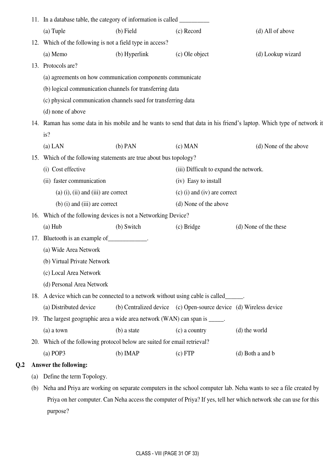| 11. In a database table, the category of information is called ___________ |     |                                                                                                                              |               |                                                                   |                                                                                                                   |  |  |
|----------------------------------------------------------------------------|-----|------------------------------------------------------------------------------------------------------------------------------|---------------|-------------------------------------------------------------------|-------------------------------------------------------------------------------------------------------------------|--|--|
|                                                                            |     | (a) Tuple                                                                                                                    | $(b)$ Field   | (c) Record                                                        | (d) All of above                                                                                                  |  |  |
|                                                                            |     | 12. Which of the following is not a field type in access?                                                                    |               |                                                                   |                                                                                                                   |  |  |
|                                                                            |     | (a) Memo                                                                                                                     | (b) Hyperlink | (c) Ole object                                                    | (d) Lookup wizard                                                                                                 |  |  |
|                                                                            |     | 13. Protocols are?                                                                                                           |               |                                                                   |                                                                                                                   |  |  |
|                                                                            |     | (a) agreements on how communication components communicate                                                                   |               |                                                                   |                                                                                                                   |  |  |
|                                                                            |     | (b) logical communication channels for transferring data                                                                     |               |                                                                   |                                                                                                                   |  |  |
|                                                                            |     | (c) physical communication channels sued for transferring data                                                               |               |                                                                   |                                                                                                                   |  |  |
|                                                                            |     | (d) none of above                                                                                                            |               |                                                                   |                                                                                                                   |  |  |
|                                                                            |     | 14. Raman has some data in his mobile and he wants to send that data in his friend's laptop. Which type of network it<br>is? |               |                                                                   |                                                                                                                   |  |  |
|                                                                            |     | $(a)$ LAN                                                                                                                    | $(b)$ PAN     | $(c)$ MAN                                                         | (d) None of the above                                                                                             |  |  |
|                                                                            |     | 15. Which of the following statements are true about bus topology?                                                           |               |                                                                   |                                                                                                                   |  |  |
|                                                                            |     | (i) Cost effective                                                                                                           |               | (iii) Difficult to expand the network.                            |                                                                                                                   |  |  |
|                                                                            |     | (ii) faster communication                                                                                                    |               | (iv) Easy to install                                              |                                                                                                                   |  |  |
|                                                                            |     | $(a)$ (i), (ii) and (iii) are correct                                                                                        |               | $(c)$ (i) and (iv) are correct                                    |                                                                                                                   |  |  |
|                                                                            |     | $(b)$ (i) and (iii) are correct                                                                                              |               | (d) None of the above                                             |                                                                                                                   |  |  |
|                                                                            | 16. | Which of the following devices is not a Networking Device?                                                                   |               |                                                                   |                                                                                                                   |  |  |
|                                                                            |     | $(a)$ Hub                                                                                                                    | (b) Switch    | $(c)$ Bridge                                                      | (d) None of the these                                                                                             |  |  |
|                                                                            |     | 17. Bluetooth is an example of ____________.                                                                                 |               |                                                                   |                                                                                                                   |  |  |
|                                                                            |     | (a) Wide Area Network                                                                                                        |               |                                                                   |                                                                                                                   |  |  |
|                                                                            |     | (b) Virtual Private Network                                                                                                  |               |                                                                   |                                                                                                                   |  |  |
|                                                                            |     | (c) Local Area Network                                                                                                       |               |                                                                   |                                                                                                                   |  |  |
|                                                                            |     | (d) Personal Area Network                                                                                                    |               |                                                                   |                                                                                                                   |  |  |
|                                                                            |     | 18. A device which can be connected to a network without using cable is called______.                                        |               |                                                                   |                                                                                                                   |  |  |
|                                                                            |     | (a) Distributed device                                                                                                       |               | (b) Centralized device (c) Open-source device (d) Wireless device |                                                                                                                   |  |  |
|                                                                            | 19. | The largest geographic area a wide area network (WAN) can span is _____.                                                     |               |                                                                   |                                                                                                                   |  |  |
|                                                                            |     | $(a)$ a town                                                                                                                 | (b) a state   | (c) a country                                                     | (d) the world                                                                                                     |  |  |
|                                                                            | 20. | Which of the following protocol below are suited for email retrieval?                                                        |               |                                                                   |                                                                                                                   |  |  |
|                                                                            |     | $(a)$ POP3                                                                                                                   | $(b)$ IMAP    | (c) FTP                                                           | (d) Both a and b                                                                                                  |  |  |
| Q <sub>2</sub>                                                             |     | <b>Answer the following:</b>                                                                                                 |               |                                                                   |                                                                                                                   |  |  |
|                                                                            | (a) | Define the term Topology.                                                                                                    |               |                                                                   |                                                                                                                   |  |  |
|                                                                            | (b) | Neha and Priya are working on separate computers in the school computer lab. Neha wants to see a file created by             |               |                                                                   |                                                                                                                   |  |  |
|                                                                            |     |                                                                                                                              |               |                                                                   | Priya on her computer. Can Neha access the computer of Priya? If yes, tell her which network she can use for this |  |  |
|                                                                            |     | purpose?                                                                                                                     |               |                                                                   |                                                                                                                   |  |  |

 $Q.2$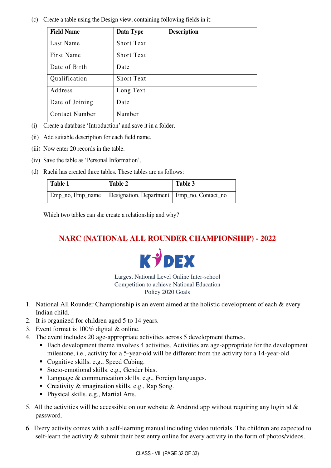(c) Create a table using the Design view, containing following fields in it:

| <b>Field Name</b>     | Data Type         | <b>Description</b> |
|-----------------------|-------------------|--------------------|
| Last Name             | <b>Short Text</b> |                    |
| First Name            | Short Text        |                    |
| Date of Birth         | Date              |                    |
| Qualification         | <b>Short Text</b> |                    |
| Address               | Long Text         |                    |
| Date of Joining       | Date              |                    |
| <b>Contact Number</b> | Number            |                    |

- (i) Create a database 'Introduction' and save it in a folder.
- (ii) Add suitable description for each field name.
- (iii) Now enter 20 records in the table.
- (iv) Save the table as 'Personal Information'.
- (d) Ruchi has created three tables. These tables are as follows:

| Table 1          | <b>Table 2</b>                               | Table 3 |
|------------------|----------------------------------------------|---------|
| Emp_no, Emp_name | Designation, Department   Emp_no, Contact_no |         |

Which two tables can she create a relationship and why?

### **NARC (NATIONAL ALL ROUNDER CHAMPIONSHIP) - 2022**



Largest National Level Online Inter-school Competition to achieve National Education Policy 2020 Goals

- 1. National All Rounder Championship is an event aimed at the holistic development of each & every Indian child.
- 2. It is organized for children aged 5 to 14 years.
- 3. Event format is 100% digital & online.
- 4. The event includes 20 age-appropriate activities across 5 development themes.
	- Each development theme involves 4 activities. Activities are age-appropriate for the development milestone, i.e., activity for a 5-year-old will be different from the activity for a 14-year-old.
	- Cognitive skills. e.g., Speed Cubing.
	- Socio-emotional skills. e.g., Gender bias.
	- Language & communication skills. e.g., Foreign languages.
	- Creativity & imagination skills. e.g., Rap Song.
	- Physical skills. e.g., Martial Arts.
- 5. All the activities will be accessible on our website & Android app without requiring any login id  $\&$ password.
- 6. Every activity comes with a self-learning manual including video tutorials. The children are expected to self-learn the activity  $\&$  submit their best entry online for every activity in the form of photos/videos.